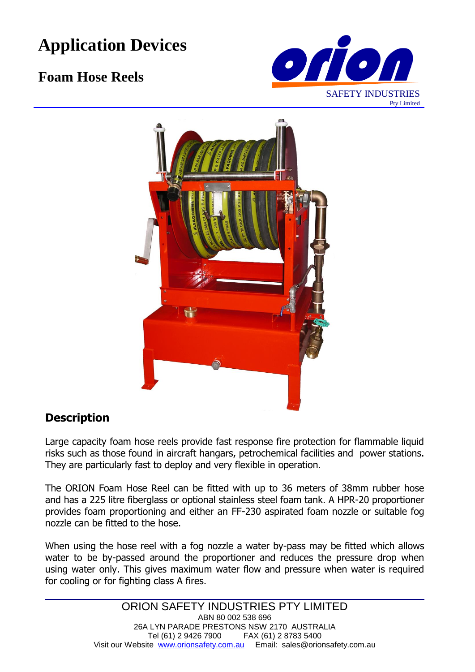# **Application Devices**

## **Foam Hose Reels**





### **Description**

Large capacity foam hose reels provide fast response fire protection for flammable liquid risks such as those found in aircraft hangars, petrochemical facilities and power stations. They are particularly fast to deploy and very flexible in operation.

The ORION Foam Hose Reel can be fitted with up to 36 meters of 38mm rubber hose and has a 225 litre fiberglass or optional stainless steel foam tank. A HPR-20 proportioner provides foam proportioning and either an FF-230 aspirated foam nozzle or suitable fog nozzle can be fitted to the hose.

When using the hose reel with a fog nozzle a water by-pass may be fitted which allows water to be by-passed around the proportioner and reduces the pressure drop when using water only. This gives maximum water flow and pressure when water is required for cooling or for fighting class A fires.